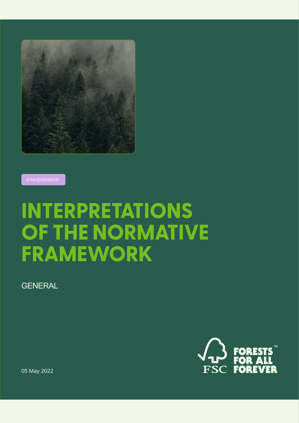

Interpretation

# **INTERPRETATIONS** OF THE NORMATIVE **FRAMEWORK**

**GENERAL** 



05 May 2022

GENERAL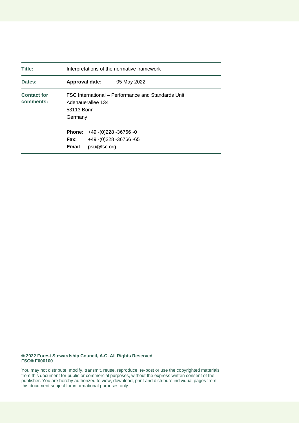| Title:                          | Interpretations of the normative framework                                                       |
|---------------------------------|--------------------------------------------------------------------------------------------------|
| Dates:                          | Approval date:<br>05 May 2022                                                                    |
| <b>Contact for</b><br>comments: | FSC International – Performance and Standards Unit<br>Adenauerallee 134<br>53113 Bonn<br>Germany |
|                                 | <b>Phone:</b> $+49-(0)228 - 36766 - 0$                                                           |
|                                 | +49 - (0) 228 - 36766 - 65<br><b>Fax:</b><br>psu@fsc.org<br>Email :                              |

#### **® 2022 Forest Stewardship Council, A.C. All Rights Reserved FSC® F000100**

You may not distribute, modify, transmit, reuse, reproduce, re-post or use the copyrighted materials from this document for public or commercial purposes, without the express written consent of the publisher. You are hereby authorized to view, download, print and distribute individual pages from this document subject for informational purposes only.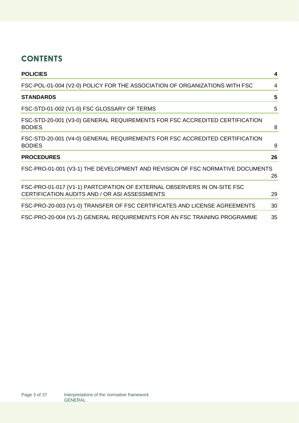# **CONTENTS**

| <b>POLICIES</b>                                                                                                          | 4  |
|--------------------------------------------------------------------------------------------------------------------------|----|
| FSC-POL-01-004 (V2-0) POLICY FOR THE ASSOCIATION OF ORGANIZATIONS WITH FSC                                               | 4  |
| <b>STANDARDS</b>                                                                                                         | 5  |
| FSC-STD-01-002 (V1-0) FSC GLOSSARY OF TERMS                                                                              | 5  |
| FSC-STD-20-001 (V3-0) GENERAL REQUIREMENTS FOR FSC ACCREDITED CERTIFICATION<br><b>BODIES</b>                             | 8  |
| FSC-STD-20-001 (V4-0) GENERAL REQUIREMENTS FOR FSC ACCREDITED CERTIFICATION<br><b>BODIES</b>                             | 9  |
| <b>PROCEDURES</b>                                                                                                        | 26 |
| FSC-PRO-01-001 (V3-1) THE DEVELOPMENT AND REVISION OF FSC NORMATIVE DOCUMENTS                                            | 26 |
| FSC-PRO-01-017 (V1-1) PARTCIPATION OF EXTERNAL OBSERVERS IN ON-SITE FSC<br>CERTIFICATION AUDITS AND / OR ASI ASSESSMENTS | 29 |
| FSC-PRO-20-003 (V1-0) TRANSFER OF FSC CERTIFICATES AND LICENSE AGREEMENTS                                                | 30 |
| FSC-PRO-20-004 (V1-2) GENERAL REQUIREMENTS FOR AN FSC TRAINING PROGRAMME                                                 | 35 |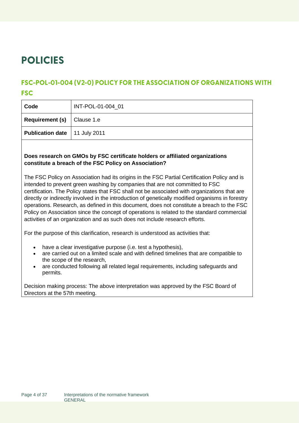# <span id="page-3-0"></span>**POLICIES**

### <span id="page-3-1"></span>**FSC-POL-01-004 (V2-0) POLICY FOR THE ASSOCIATION OF ORGANIZATIONS WITH FSC**

| Code                                   | INT-POL-01-004 01 |
|----------------------------------------|-------------------|
| <b>Requirement (s)</b>   Clause 1.e    |                   |
| <b>Publication date</b>   11 July 2011 |                   |
|                                        |                   |

#### **Does research on GMOs by FSC certificate holders or affiliated organizations constitute a breach of the FSC Policy on Association?**

The FSC Policy on Association had its origins in the FSC Partial Certification Policy and is intended to prevent green washing by companies that are not committed to FSC certification. The Policy states that FSC shall not be associated with organizations that are directly or indirectly involved in the introduction of genetically modified organisms in forestry operations. Research, as defined in this document, does not constitute a breach to the FSC Policy on Association since the concept of operations is related to the standard commercial activities of an organization and as such does not include research efforts.

For the purpose of this clarification, research is understood as activities that:

- have a clear investigative purpose (i.e. test a hypothesis),
- are carried out on a limited scale and with defined timelines that are compatible to the scope of the research,
- are conducted following all related legal requirements, including safeguards and permits.

Decision making process: The above interpretation was approved by the FSC Board of Directors at the 57th meeting.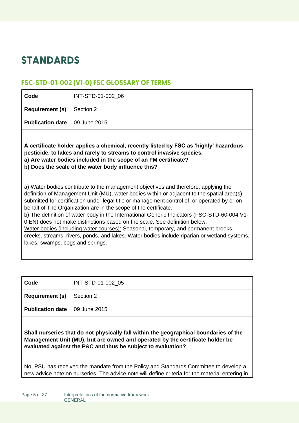# <span id="page-4-0"></span>**STANDARDS**

### <span id="page-4-1"></span>FSC-STD-01-002 (V1-0) FSC GLOSSARY OF TERMS

| Code                             | INT-STD-01-002_06                                                                                                                                                                                                                                                                                                                                                                                                                                                                                                                                                                                                                                                                                                                                                                                                                                                                                                                                                                                                    |
|----------------------------------|----------------------------------------------------------------------------------------------------------------------------------------------------------------------------------------------------------------------------------------------------------------------------------------------------------------------------------------------------------------------------------------------------------------------------------------------------------------------------------------------------------------------------------------------------------------------------------------------------------------------------------------------------------------------------------------------------------------------------------------------------------------------------------------------------------------------------------------------------------------------------------------------------------------------------------------------------------------------------------------------------------------------|
| <b>Requirement (s)</b>           | Section 2                                                                                                                                                                                                                                                                                                                                                                                                                                                                                                                                                                                                                                                                                                                                                                                                                                                                                                                                                                                                            |
| <b>Publication date</b>          | 09 June 2015                                                                                                                                                                                                                                                                                                                                                                                                                                                                                                                                                                                                                                                                                                                                                                                                                                                                                                                                                                                                         |
| lakes, swamps, bogs and springs. | A certificate holder applies a chemical, recently listed by FSC as 'highly' hazardous<br>pesticide, to lakes and rarely to streams to control invasive species.<br>a) Are water bodies included in the scope of an FM certificate?<br>b) Does the scale of the water body influence this?<br>a) Water bodies contribute to the management objectives and therefore, applying the<br>definition of Management Unit (MU), water bodies within or adjacent to the spatial area(s)<br>submitted for certification under legal title or management control of, or operated by or on<br>behalf of The Organization are in the scope of the certificate.<br>b) The definition of water body in the International Generic Indicators (FSC-STD-60-004 V1-<br>0 EN) does not make distinctions based on the scale. See definition below.<br>Water bodies (including water courses): Seasonal, temporary, and permanent brooks,<br>creeks, streams, rivers, ponds, and lakes. Water bodies include riparian or wetland systems, |

| Code                                     | INT-STD-01-002 05 |
|------------------------------------------|-------------------|
| <b>Requirement (s)</b> $\vert$ Section 2 |                   |
| <b>Publication date</b>   09 June 2015   |                   |

**Shall nurseries that do not physically fall within the geographical boundaries of the Management Unit (MU), but are owned and operated by the certificate holder be evaluated against the P&C and thus be subject to evaluation?**

No, PSU has received the mandate from the Policy and Standards Committee to develop a new advice note on nurseries. The advice note will define criteria for the material entering in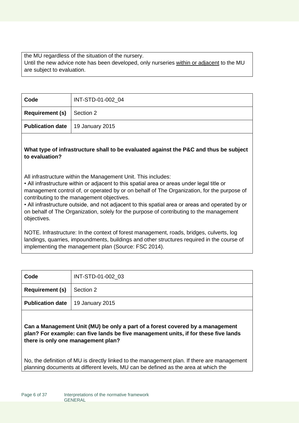the MU regardless of the situation of the nursery. Until the new advice note has been developed, only nurseries within or adjacent to the MU are subject to evaluation.

| Code                                      | INT-STD-01-002_04 |
|-------------------------------------------|-------------------|
| <b>Requirement (s)</b> $\vert$ Section 2  |                   |
| <b>Publication date</b>   19 January 2015 |                   |

#### **What type of infrastructure shall to be evaluated against the P&C and thus be subject to evaluation?**

All infrastructure within the Management Unit. This includes:

• All infrastructure within or adjacent to this spatial area or areas under legal title or management control of, or operated by or on behalf of The Organization, for the purpose of contributing to the management objectives.

• All infrastructure outside, and not adjacent to this spatial area or areas and operated by or on behalf of The Organization, solely for the purpose of contributing to the management objectives.

NOTE. Infrastructure: In the context of forest management, roads, bridges, culverts, log landings, quarries, impoundments, buildings and other structures required in the course of implementing the management plan (Source: FSC 2014).

| Code                                      | INT-STD-01-002 03 |
|-------------------------------------------|-------------------|
| <b>Requirement (s)</b>                    | Section 2         |
| <b>Publication date</b>   19 January 2015 |                   |
|                                           |                   |

**Can a Management Unit (MU) be only a part of a forest covered by a management plan? For example: can five lands be five management units, if for these five lands there is only one management plan?**

No, the definition of MU is directly linked to the management plan. If there are management planning documents at different levels, MU can be defined as the area at which the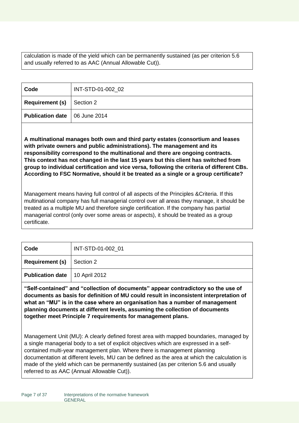calculation is made of the yield which can be permanently sustained (as per criterion 5.6 and usually referred to as AAC (Annual Allowable Cut)).

| Code                                     | INT-STD-01-002 02 |
|------------------------------------------|-------------------|
| <b>Requirement (s)</b> $\vert$ Section 2 |                   |
| <b>Publication date</b>   06 June 2014   |                   |

**A multinational manages both own and third party estates (consortium and leases with private owners and public administrations). The management and its responsibility correspond to the multinational and there are ongoing contracts. This context has not changed in the last 15 years but this client has switched from group to individual certification and vice versa, following the criteria of different CBs. According to FSC Normative, should it be treated as a single or a group certificate?**

Management means having full control of all aspects of the Principles &Criteria. If this multinational company has full managerial control over all areas they manage, it should be treated as a multiple MU and therefore single certification. If the company has partial managerial control (only over some areas or aspects), it should be treated as a group certificate.

| Code                                     | INT-STD-01-002 01 |
|------------------------------------------|-------------------|
| <b>Requirement (s)</b> $\vert$ Section 2 |                   |
| <b>Publication date</b>   10 April 2012  |                   |

**"Self-contained" and "collection of documents" appear contradictory so the use of documents as basis for definition of MU could result in inconsistent interpretation of what an "MU" is in the case where an organisation has a number of management planning documents at different levels, assuming the collection of documents together meet Principle 7 requirements for management plans.**

Management Unit (MU): A clearly defined forest area with mapped boundaries, managed by a single managerial body to a set of explicit objectives which are expressed in a selfcontained multi-year management plan. Where there is management planning documentation at different levels, MU can be defined as the area at which the calculation is made of the yield which can be permanently sustained (as per criterion 5.6 and usually referred to as AAC (Annual Allowable Cut)).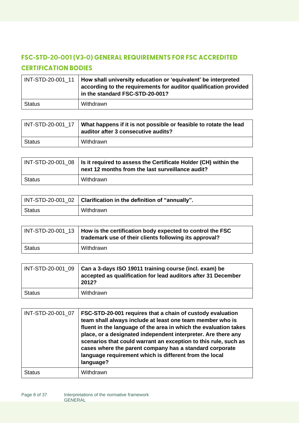# <span id="page-7-0"></span>FSC-STD-20-001 (V3-0) GENERAL REQUIREMENTS FOR FSC ACCREDITED **CERTIFICATION BODIES**

|               | $INT-STD-20-001_1$   How shall university education or 'equivalent' be interpreted<br>according to the requirements for auditor qualification provided<br>in the standard FSC-STD-20-001? |
|---------------|-------------------------------------------------------------------------------------------------------------------------------------------------------------------------------------------|
| <b>Status</b> | Withdrawn                                                                                                                                                                                 |

| INT-STD-20-001 17 | What happens if it is not possible or feasible to rotate the lead<br>auditor after 3 consecutive audits? |
|-------------------|----------------------------------------------------------------------------------------------------------|
| Status            | Withdrawn                                                                                                |

|               | $\mid$ INT-STD-20-001_08 $\mid$ Is it required to assess the Certificate Holder (CH) within the<br>next 12 months from the last surveillance audit? |
|---------------|-----------------------------------------------------------------------------------------------------------------------------------------------------|
| <b>Status</b> | Withdrawn                                                                                                                                           |

|               | INT-STD-20-001_02   Clarification in the definition of "annually". |
|---------------|--------------------------------------------------------------------|
| <b>Status</b> | Withdrawn                                                          |

|               | $INT-STD-20-001$ 13   How is the certification body expected to control the FSC<br>trademark use of their clients following its approval? |
|---------------|-------------------------------------------------------------------------------------------------------------------------------------------|
| <b>Status</b> | Withdrawn                                                                                                                                 |

|               | $INT-STD-20-001_09$ $Can a 3-days ISO 19011 training course (incl. exam) be$<br>accepted as qualification for lead auditors after 31 December<br>2012? |
|---------------|--------------------------------------------------------------------------------------------------------------------------------------------------------|
| <b>Status</b> | Withdrawn                                                                                                                                              |

| INT-STD-20-001 07 | FSC-STD-20-001 requires that a chain of custody evaluation<br>team shall always include at least one team member who is<br>fluent in the language of the area in which the evaluation takes<br>place, or a designated independent interpreter. Are there any<br>scenarios that could warrant an exception to this rule, such as<br>cases where the parent company has a standard corporate<br>language requirement which is different from the local<br>language? |
|-------------------|-------------------------------------------------------------------------------------------------------------------------------------------------------------------------------------------------------------------------------------------------------------------------------------------------------------------------------------------------------------------------------------------------------------------------------------------------------------------|
| Status            | Withdrawn                                                                                                                                                                                                                                                                                                                                                                                                                                                         |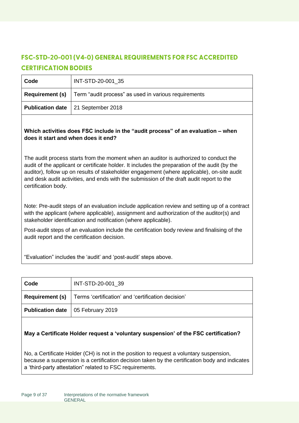# <span id="page-8-0"></span>**FSC-STD-20-001 (V4-0) GENERAL REQUIREMENTS FOR FSC ACCREDITED CERTIFICATION BODIES**

| Code                   | INT-STD-20-001 35                                    |
|------------------------|------------------------------------------------------|
| <b>Requirement (s)</b> | Term "audit process" as used in various requirements |
|                        | <b>Publication date</b>   21 September 2018          |

#### **Which activities does FSC include in the "audit process" of an evaluation – when does it start and when does it end?**

The audit process starts from the moment when an auditor is authorized to conduct the audit of the applicant or certificate holder. It includes the preparation of the audit (by the auditor), follow up on results of stakeholder engagement (where applicable), on-site audit and desk audit activities, and ends with the submission of the draft audit report to the certification body.

Note: Pre-audit steps of an evaluation include application review and setting up of a contract with the applicant (where applicable), assignment and authorization of the auditor(s) and stakeholder identification and notification (where applicable).

Post-audit steps of an evaluation include the certification body review and finalising of the audit report and the certification decision.

"Evaluation" includes the 'audit' and 'post-audit' steps above.

| Code                                       | INT-STD-20-001 39                                                           |
|--------------------------------------------|-----------------------------------------------------------------------------|
|                                            | <b>Requirement (s)</b>   Terms 'certification' and 'certification decision' |
| <b>Publication date</b>   05 February 2019 |                                                                             |

#### **May a Certificate Holder request a 'voluntary suspension' of the FSC certification?**

No, a Certificate Holder (CH) is not in the position to request a voluntary suspension, because a suspension is a certification decision taken by the certification body and indicates a 'third-party attestation" related to FSC requirements.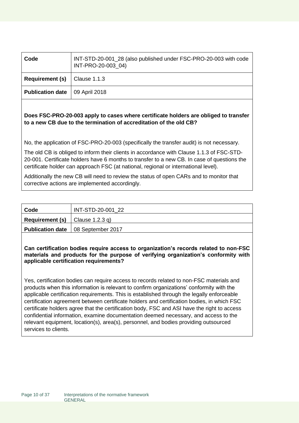| Code                    | INT-STD-20-001_28 (also published under FSC-PRO-20-003 with code<br>INT-PRO-20-003 04) |
|-------------------------|----------------------------------------------------------------------------------------|
| <b>Requirement (s)</b>  | Clause 1.1.3                                                                           |
| <b>Publication date</b> | 09 April 2018                                                                          |

#### **Does FSC-PRO-20-003 apply to cases where certificate holders are obliged to transfer to a new CB due to the termination of accreditation of the old CB?**

No, the application of FSC-PRO-20-003 (specifically the transfer audit) is not necessary.

The old CB is obliged to inform their clients in accordance with Clause 1.1.3 of FSC-STD-20-001. Certificate holders have 6 months to transfer to a new CB. In case of questions the certificate holder can approach FSC (at national, regional or international level).

Additionally the new CB will need to review the status of open CARs and to monitor that corrective actions are implemented accordingly.

| Code                                       | INT-STD-20-001 22                           |
|--------------------------------------------|---------------------------------------------|
| <b>Requirement (s)</b> $ $ Clause 1.2.3 q) |                                             |
|                                            | <b>Publication date</b>   08 September 2017 |

**Can certification bodies require access to organization's records related to non-FSC materials and products for the purpose of verifying organization's conformity with applicable certification requirements?**

Yes, certification bodies can require access to records related to non-FSC materials and products when this information is relevant to confirm organizations' conformity with the applicable certification requirements. This is established through the legally enforceable certification agreement between certificate holders and certification bodies, in which FSC certificate holders agree that the certification body, FSC and ASI have the right to access confidential information, examine documentation deemed necessary, and access to the relevant equipment, location(s), area(s), personnel, and bodies providing outsourced services to clients.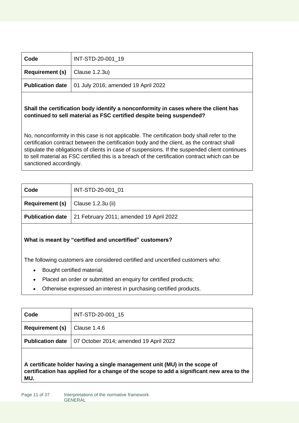| Code                                      | INT-STD-20-001 19                                             |
|-------------------------------------------|---------------------------------------------------------------|
| <b>Requirement (s)</b> $ $ Clause 1.2.3u) |                                                               |
|                                           | <b>Publication date</b>   01 July 2016; amended 19 April 2022 |
|                                           |                                                               |

#### **Shall the certification body identify a nonconformity in cases where the client has continued to sell material as FSC certified despite being suspended?**

No, nonconformity in this case is not applicable. The certification body shall refer to the certification contract between the certification body and the client, as the contract shall stipulate the obligations of clients in case of suspensions. If the suspended client continues to sell material as FSC certified this is a breach of the certification contract which can be sanctioned accordingly.

| Code                                          | INT-STD-20-001 01                                                 |
|-----------------------------------------------|-------------------------------------------------------------------|
| <b>Requirement (s)</b> $ $ Clause 1.2.3u (ii) |                                                                   |
|                                               | <b>Publication date</b>   21 February 2011; amended 19 April 2022 |
|                                               |                                                                   |

#### **What is meant by "certified and uncertified" customers?**

The following customers are considered certified and uncertified customers who:

- Bought certified material;
- Placed an order or submitted an enquiry for certified products;
- Otherwise expressed an interest in purchasing certified products.

| Code                                                                                                                                                                         | INT-STD-20-001 15                      |
|------------------------------------------------------------------------------------------------------------------------------------------------------------------------------|----------------------------------------|
| <b>Requirement (s)</b>                                                                                                                                                       | Clause 1.4.6                           |
| <b>Publication date</b>                                                                                                                                                      | 07 October 2014; amended 19 April 2022 |
| A certificate holder having a single management unit (MU) in the scope of<br>certification has applied for a change of the scope to add a significant new area to the<br>MU. |                                        |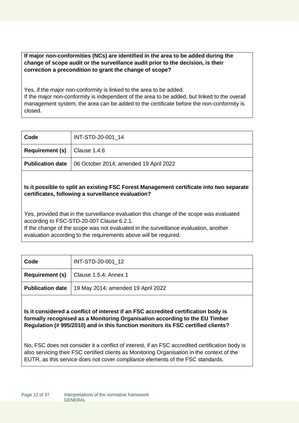**If major non-conformities (NCs) are identified in the area to be added during the change of scope audit or the surveillance audit prior to the decision, is their correction a precondition to grant the change of scope?**

Yes, if the major non-conformity is linked to the area to be added.

If the major non-conformity is independent of the area to be added, but linked to the overall management system, the area can be added to the certificate before the non-conformity is closed.

| Code                                    | INT-STD-20-001_14                      |
|-----------------------------------------|----------------------------------------|
| <b>Requirement (s)</b> $ $ Clause 1.4.6 |                                        |
| <b>Publication date</b>                 | 06 October 2014; amended 19 April 2022 |
|                                         |                                        |

**Is it possible to split an existing FSC Forest Management certificate into two separate certificates, following a surveillance evaluation?**

Yes, provided that in the surveillance evaluation this change of the scope was evaluated according to FSC-STD-20-007 Clause 6.2.1.

If the change of the scope was not evaluated in the surveillance evaluation, another evaluation according to the requirements above will be required.

| Code | INT-STD-20-001 12                                     |
|------|-------------------------------------------------------|
|      | <b>Requirement (s)</b> $ $ Clause 1.5.4; Annex 1      |
|      | Publication date   19 May 2014; amended 19 April 2022 |

**Is it considered a conflict of interest if an FSC accredited certification body is formally recognised as a Monitoring Organisation according to the EU Timber Regulation (# 995/2010) and in this function monitors its FSC certified clients?**

No, FSC does not consider it a conflict of interest, if an FSC accredited certification body is also servicing their FSC certified clients as Monitoring Organisation in the context of the EUTR, as this service does not cover compliance elements of the FSC standards.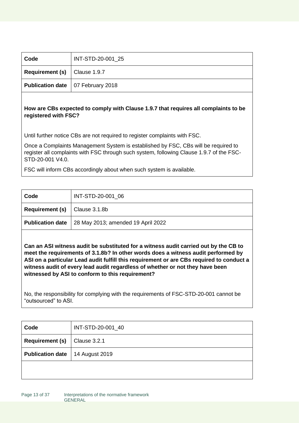| Code                                        | INT-STD-20-001 25 |
|---------------------------------------------|-------------------|
| <b>Requirement (s)</b> $\vert$ Clause 1.9.7 |                   |
| <b>Publication date</b>   07 February 2018  |                   |

#### **How are CBs expected to comply with Clause 1.9.7 that requires all complaints to be registered with FSC?**

Until further notice CBs are not required to register complaints with FSC.

Once a Complaints Management System is established by FSC, CBs will be required to register all complaints with FSC through such system, following Clause 1.9.7 of the FSC-STD-20-001 V4.0.

FSC will inform CBs accordingly about when such system is available.

| Code                    | INT-STD-20-001 06                  |
|-------------------------|------------------------------------|
| <b>Requirement (s)</b>  | $\vert$ Clause 3.1.8b              |
| <b>Publication date</b> | 28 May 2013; amended 19 April 2022 |
|                         |                                    |

**Can an ASI witness audit be substituted for a witness audit carried out by the CB to meet the requirements of 3.1.8b? In other words does a witness audit performed by ASI on a particular Lead audit fulfill this requirement or are CBs required to conduct a witness audit of every lead audit regardless of whether or not they have been witnessed by ASI to conform to this requirement?**

No, the responsibility for complying with the requirements of FSC-STD-20-001 cannot be "outsourced" to ASI.

| Code                    | INT-STD-20-001_40 |
|-------------------------|-------------------|
| <b>Requirement (s)</b>  | Clause 3.2.1      |
| <b>Publication date</b> | 14 August 2019    |
|                         |                   |
|                         |                   |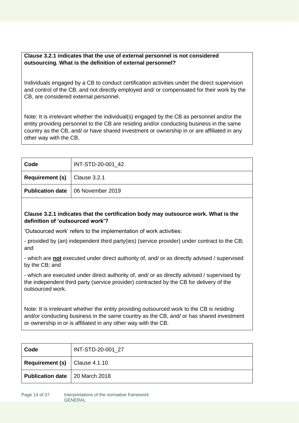#### **Clause 3.2.1 indicates that the use of external personnel is not considered outsourcing. What is the definition of external personnel?**

Individuals engaged by a CB to conduct certification activities under the direct supervision and control of the CB, and not directly employed and/ or compensated for their work by the CB, are considered external personnel.

Note: It is irrelevant whether the individual(s) engaged by the CB as personnel and/or the entity providing personnel to the CB are residing and/or conducting business in the same country as the CB, and/ or have shared investment or ownership in or are affiliated in any other way with the CB.

| Code                    | INT-STD-20-001_42 |
|-------------------------|-------------------|
| <b>Requirement (s)</b>  | Clause 3.2.1      |
| <b>Publication date</b> | O6 November 2019  |
|                         |                   |

#### **Clause 3.2.1 indicates that the certification body may outsource work. What is the definition of 'outsourced work'?**

'Outsourced work' refers to the implementation of work activities:

- provided by (an) independent third party(ies) (service provider) under contract to the CB; and

- which are **not** executed under direct authority of, and/ or as directly advised / supervised by the CB; and

- which are executed under direct authority of, and/ or as directly advised / supervised by the independent third party (service provider) contracted by the CB for delivery of the outsourced work.

Note: It is irrelevant whether the entity providing outsourced work to the CB is residing and/or conducting business in the same country as the CB, and/ or has shared investment or ownership in or is affiliated in any other way with the CB.

| Code                                         | INT-STD-20-001 27 |
|----------------------------------------------|-------------------|
| <b>Requirement (s)</b> $\vert$ Clause 4.1.10 |                   |
| <b>Publication date</b>   20 March 2018      |                   |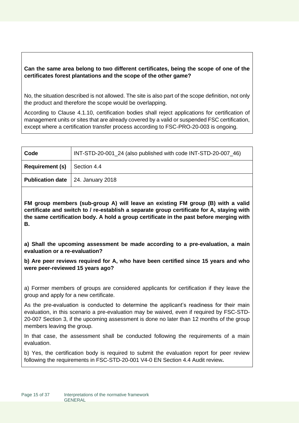#### **Can the same area belong to two different certificates, being the scope of one of the certificates forest plantations and the scope of the other game?**

No, the situation described is not allowed. The site is also part of the scope definition, not only the product and therefore the scope would be overlapping.

According to Clause 4.1.10, certification bodies shall reject applications for certification of management units or sites that are already covered by a valid or suspended FSC certification, except where a certification transfer process according to FSC-PRO-20-003 is ongoing.

| Code                                       | INT-STD-20-001_24 (also published with code INT-STD-20-007 46) |
|--------------------------------------------|----------------------------------------------------------------|
| <b>Requirement (s)</b> $\vert$ Section 4.4 |                                                                |
| <b>Publication date</b>   24. January 2018 |                                                                |

**FM group members (sub-group A) will leave an existing FM group (B) with a valid certificate and switch to / re-establish a separate group certificate for A, staying with the same certification body. A hold a group certificate in the past before merging with B.**

**a) Shall the upcoming assessment be made according to a pre-evaluation, a main evaluation or a re-evaluation?** 

**b) Are peer reviews required for A, who have been certified since 15 years and who were peer-reviewed 15 years ago?**

a) Former members of groups are considered applicants for certification if they leave the group and apply for a new certificate.

As the pre-evaluation is conducted to determine the applicant's readiness for their main evaluation, in this scenario a pre-evaluation may be waived, even if required by FSC-STD-20-007 Section 3, if the upcoming assessment is done no later than 12 months of the group members leaving the group.

In that case, the assessment shall be conducted following the requirements of a main evaluation.

b) Yes, the certification body is required to submit the evaluation report for peer review following the requirements in FSC-STD-20-001 V4-0 EN Section 4.4 Audit review**.**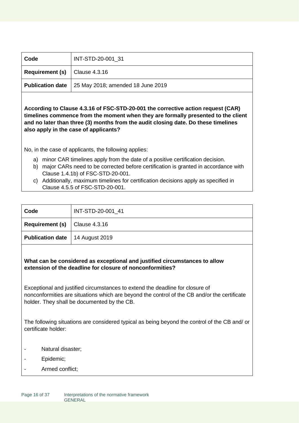| Code                                     | INT-STD-20-001 31                                           |
|------------------------------------------|-------------------------------------------------------------|
| <b>Requirement (s)</b> $ $ Clause 4.3.16 |                                                             |
|                                          | <b>Publication date</b>   25 May 2018; amended 18 June 2019 |

**According to Clause 4.3.16 of FSC-STD-20-001 the corrective action request (CAR) timelines commence from the moment when they are formally presented to the client and no later than three (3) months from the audit closing date. Do these timelines also apply in the case of applicants?**

No, in the case of applicants, the following applies:

- a) minor CAR timelines apply from the date of a positive certification decision.
- b) major CARs need to be corrected before certification is granted in accordance with Clause 1.4.1b) of FSC-STD-20-001.
- c) Additionally, maximum timelines for certification decisions apply as specified in Clause 4.5.5 of FSC-STD-20-001.

| Code                                         | INT-STD-20-001 41 |
|----------------------------------------------|-------------------|
| <b>Requirement (s)</b> $\vert$ Clause 4.3.16 |                   |
| <b>Publication date</b>   14 August 2019     |                   |

#### **What can be considered as exceptional and justified circumstances to allow extension of the deadline for closure of nonconformities?**

Exceptional and justified circumstances to extend the deadline for closure of nonconformities are situations which are beyond the control of the CB and/or the certificate holder. They shall be documented by the CB.

The following situations are considered typical as being beyond the control of the CB and/ or certificate holder:

- Natural disaster;
- Epidemic;
- Armed conflict;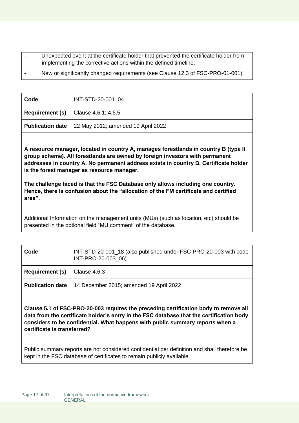Unexpected event at the certificate holder that prevented the certificate holder from implementing the corrective actions within the defined timeline; New or significantly changed requirements (see Clause 12.3 of FSC-PRO-01-001).

| Code                    | INT-STD-20-001 04                          |
|-------------------------|--------------------------------------------|
|                         | <b>Requirement (s)</b> Clause 4.6.1; 4.6.5 |
| <b>Publication date</b> | 22 May 2012; amended 19 April 2022         |

**A resource manager, located in country A, manages forestlands in country B (type II group scheme). All forestlands are owned by foreign investors with permanent addresses in country A. No permanent address exists in country B. Certificate holder is the forest manager as resource manager.** 

**The challenge faced is that the FSC Database only allows including one country. Hence, there is confusion about the "allocation of the FM certificate and certified area".**

Additional Information on the management units (MUs) (such as location, etc) should be presented in the optional field "MU comment" of the database.

| Code                    | INT-STD-20-001_18 (also published under FSC-PRO-20-003 with code<br>INT-PRO-20-003 06) |
|-------------------------|----------------------------------------------------------------------------------------|
| <b>Requirement (s)</b>  | $\vert$ Clause 4.6.3                                                                   |
| <b>Publication date</b> | 14 December 2015; amended 19 April 2022                                                |

**Clause 5.1 of FSC-PRO-20-003 requires the preceding certification body to remove all data from the certificate holder's entry in the FSC database that the certification body considers to be confidential. What happens with public summary reports when a certificate is transferred?**

Public summary reports are not considered confidential per definition and shall therefore be kept in the FSC database of certificates to remain publicly available.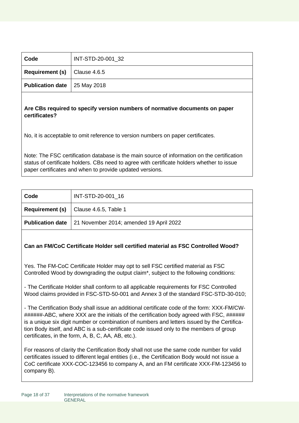| Code                                        | INT-STD-20-001 32 |
|---------------------------------------------|-------------------|
| <b>Requirement (s)</b> $\vert$ Clause 4.6.5 |                   |
| <b>Publication date</b> 25 May 2018         |                   |

#### **Are CBs required to specify version numbers of normative documents on paper certificates?**

No, it is acceptable to omit reference to version numbers on paper certificates.

Note: The FSC certification database is the main source of information on the certification status of certificate holders. CBs need to agree with certificate holders whether to issue paper certificates and when to provide updated versions.

| Code | INT-STD-20-001_16                                                 |
|------|-------------------------------------------------------------------|
|      | <b>Requirement (s)</b> $\vert$ Clause 4.6.5, Table 1              |
|      | <b>Publication date</b>   21 November 2014; amended 19 April 2022 |

#### **Can an FM/CoC Certificate Holder sell certified material as FSC Controlled Wood?**

Yes. The FM-CoC Certificate Holder may opt to sell FSC certified material as FSC Controlled Wood by downgrading the output claim\*, subject to the following conditions:

- The Certificate Holder shall conform to all applicable requirements for FSC Controlled Wood claims provided in FSC-STD-50-001 and Annex 3 of the standard FSC-STD-30-010;

- The Certification Body shall issue an additional certificate code of the form: XXX-FM/CW- ######-ABC, where XXX are the initials of the certification body agreed with FSC, ###### is a unique six digit number or combination of numbers and letters issued by the Certification Body itself, and ABC is a sub-certificate code issued only to the members of group certificates, in the form, A, B, C, AA, AB, etc.).

For reasons of clarity the Certification Body shall not use the same code number for valid certificates issued to different legal entities (i.e., the Certification Body would not issue a CoC certificate XXX-COC-123456 to company A, and an FM certificate XXX-FM-123456 to company B).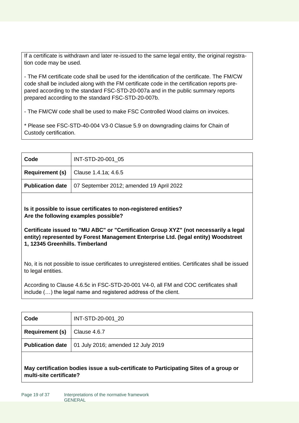If a certificate is withdrawn and later re-issued to the same legal entity, the original registration code may be used.

- The FM certificate code shall be used for the identification of the certificate. The FM/CW code shall be included along with the FM certificate code in the certification reports prepared according to the standard FSC-STD-20-007a and in the public summary reports prepared according to the standard FSC-STD-20-007b.

- The FM/CW code shall be used to make FSC Controlled Wood claims on invoices.

\* Please see FSC-STD-40-004 V3-0 Clasue 5.9 on downgrading claims for Chain of Custody certification.

| Code | INT-STD-20-001 05                                                  |
|------|--------------------------------------------------------------------|
|      | <b>Requirement (s)</b> $ $ Clause 1.4.1a; 4.6.5                    |
|      | <b>Publication date</b>   07 September 2012; amended 19 April 2022 |

**Is it possible to issue certificates to non-registered entities? Are the following examples possible?**

**Certificate issued to "MU ABC" or "Certification Group XYZ" (not necessarily a legal entity) represented by Forest Management Enterprise Ltd. (legal entity) Woodstreet 1, 12345 Greenhills. Timberland**

No, it is not possible to issue certificates to unregistered entities. Certificates shall be issued to legal entities.

According to Clause 4.6.5c in FSC-STD-20-001 V4-0, all FM and COC certificates shall include (…) the legal name and registered address of the client.

| Code                                        | INT-STD-20-001_20                                            |
|---------------------------------------------|--------------------------------------------------------------|
| <b>Requirement (s)</b> $\vert$ Clause 4.6.7 |                                                              |
|                                             | <b>Publication date</b>   01 July 2016; amended 12 July 2019 |
|                                             |                                                              |

**May certification bodies issue a sub-certificate to Participating Sites of a group or multi-site certificate?**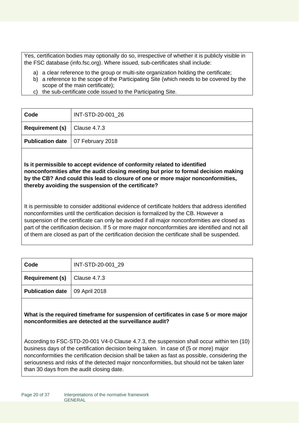Yes, certification bodies may optionally do so, irrespective of whether it is publicly visible in the FSC database (info.fsc.org). Where issued, sub-certificates shall include:

- a) a clear reference to the group or multi-site organization holding the certificate;
- b) a reference to the scope of the Participating Site (which needs to be covered by the scope of the main certificate);
- c) the sub-certificate code issued to the Participating Site.

| Code                                        | INT-STD-20-001 26 |
|---------------------------------------------|-------------------|
| <b>Requirement (s)</b> $\vert$ Clause 4.7.3 |                   |
| <b>Publication date</b>   07 February 2018  |                   |

**Is it permissible to accept evidence of conformity related to identified nonconformities after the audit closing meeting but prior to formal decision making by the CB? And could this lead to closure of one or more major nonconformities, thereby avoiding the suspension of the certificate?**

It is permissible to consider additional evidence of certificate holders that address identified nonconformities until the certification decision is formalized by the CB. However a suspension of the certificate can only be avoided if all major nonconformities are closed as part of the certification decision. If 5 or more major nonconformities are identified and not all of them are closed as part of the certification decision the certificate shall be suspended.

| Code                                        | INT-STD-20-001 29 |
|---------------------------------------------|-------------------|
| <b>Requirement (s)</b> $\vert$ Clause 4.7.3 |                   |
| <b>Publication date</b>   09 April 2018     |                   |

**What is the required timeframe for suspension of certificates in case 5 or more major nonconformities are detected at the surveillance audit?** 

According to FSC-STD-20-001 V4-0 Clause 4.7.3, the suspension shall occur within ten (10) business days of the certification decision being taken. In case of (5 or more) major nonconformities the certification decision shall be taken as fast as possible, considering the seriousness and risks of the detected major nonconformities, but should not be taken later than 30 days from the audit closing date.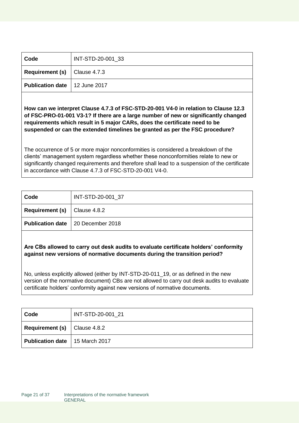| Code                                        | INT-STD-20-001 33 |
|---------------------------------------------|-------------------|
| <b>Requirement (s)</b> $\vert$ Clause 4.7.3 |                   |
| <b>Publication date</b>   12 June 2017      |                   |

**How can we interpret Clause 4.7.3 of FSC-STD-20-001 V4-0 in relation to Clause 12.3 of FSC-PRO-01-001 V3-1? If there are a large number of new or significantly changed requirements which result in 5 major CARs, does the certificate need to be suspended or can the extended timelines be granted as per the FSC procedure?** 

The occurrence of 5 or more major nonconformities is considered a breakdown of the clients' management system regardless whether these nonconformities relate to new or significantly changed requirements and therefore shall lead to a suspension of the certificate in accordance with Clause 4.7.3 of FSC-STD-20-001 V4-0.

| Code                                        | INT-STD-20-001 37                          |
|---------------------------------------------|--------------------------------------------|
| <b>Requirement (s)</b> $\vert$ Clause 4.8.2 |                                            |
|                                             | <b>Publication date</b>   20 December 2018 |

**Are CBs allowed to carry out desk audits to evaluate certificate holders' conformity against new versions of normative documents during the transition period?**

No, unless explicitly allowed (either by INT-STD-20-011\_19, or as defined in the new version of the normative document) CBs are not allowed to carry out desk audits to evaluate certificate holders' conformity against new versions of normative documents.

| Code                                    | INT-STD-20-001 21 |
|-----------------------------------------|-------------------|
| <b>Requirement (s)</b> $ $ Clause 4.8.2 |                   |
| <b>Publication date</b>   15 March 2017 |                   |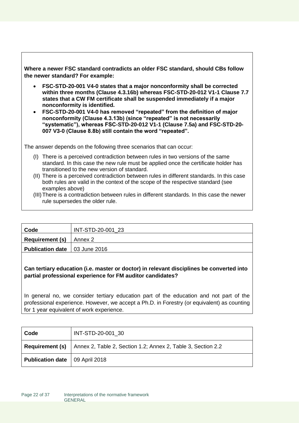**Where a newer FSC standard contradicts an older FSC standard, should CBs follow the newer standard? For example:** 

- **FSC-STD-20-001 V4-0 states that a major nonconformity shall be corrected within three months (Clause 4.3.16b) whereas FSC-STD-20-012 V1-1 Clause 7.7 states that a CW FM certificate shall be suspended immediately if a major nonconformity is identified.**
- **FSC-STD-20-001 V4-0 has removed "repeated" from the definition of major nonconformity (Clause 4.3.13b) (since "repeated" is not necessarily "systematic"), whereas FSC-STD-20-012 V1-1 (Clause 7.5a) and FSC-STD-20- 007 V3-0 (Clause 8.8b) still contain the word "repeated".**

The answer depends on the following three scenarios that can occur:

- (I) There is a perceived contradiction between rules in two versions of the same standard. In this case the new rule must be applied once the certificate holder has transitioned to the new version of standard.
- (II) There is a perceived contradiction between rules in different standards. In this case both rules are valid in the context of the scope of the respective standard (see examples above)
- (III)There is a contradiction between rules in different standards. In this case the newer rule supersedes the older rule.

| Code                                   | INT-STD-20-001 23 |
|----------------------------------------|-------------------|
| <b>Requirement (s)</b> $\vert$ Annex 2 |                   |
| <b>Publication date</b>   03 June 2016 |                   |
|                                        |                   |

#### **Can tertiary education (i.e. master or doctor) in relevant disciplines be converted into partial professional experience for FM auditor candidates?**

In general no, we consider tertiary education part of the education and not part of the professional experience. However, we accept a Ph.D. in Forestry (or equivalent) as counting for 1 year equivalent of work experience.

| Code                                    | INT-STD-20-001 30                                                                   |
|-----------------------------------------|-------------------------------------------------------------------------------------|
|                                         | <b>Requirement (s)</b> Annex 2, Table 2, Section 1.2; Annex 2, Table 3, Section 2.2 |
| <b>Publication date</b>   09 April 2018 |                                                                                     |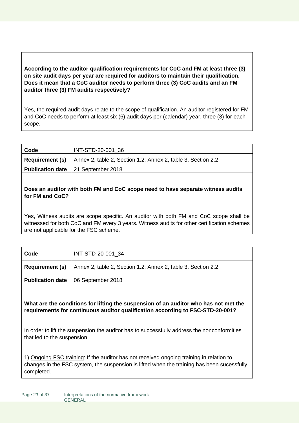#### **According to the auditor qualification requirements for CoC and FM at least three (3) on site audit days per year are required for auditors to maintain their qualification. Does it mean that a CoC auditor needs to perform three (3) CoC audits and an FM auditor three (3) FM audits respectively?**

Yes, the required audit days relate to the scope of qualification. An auditor registered for FM and CoC needs to perform at least six (6) audit days per (calendar) year, three (3) for each scope.

| Code | INT-STD-20-001 36                                                                           |
|------|---------------------------------------------------------------------------------------------|
|      | <b>Requirement (s)</b> $\vert$ Annex 2, table 2, Section 1.2; Annex 2, table 3, Section 2.2 |
|      | <b>Publication date</b> 21 September 2018                                                   |

#### **Does an auditor with both FM and CoC scope need to have separate witness audits for FM and CoC?**

Yes, Witness audits are scope specific. An auditor with both FM and CoC scope shall be witnessed for both CoC and FM every 3 years. Witness audits for other certification schemes are not applicable for the FSC scheme.

| Code | INT-STD-20-001 34                                                                   |
|------|-------------------------------------------------------------------------------------|
|      | <b>Requirement (s)</b> Annex 2, table 2, Section 1.2; Annex 2, table 3, Section 2.2 |
|      | <b>Publication date</b>   06 September 2018                                         |

**What are the conditions for lifting the suspension of an auditor who has not met the requirements for continuous auditor qualification according to FSC-STD-20-001?**

In order to lift the suspension the auditor has to successfully address the nonconformities that led to the suspension:

1) Ongoing FSC training: If the auditor has not received ongoing training in relation to changes in the FSC system, the suspension is lifted when the training has been sucessfully completed.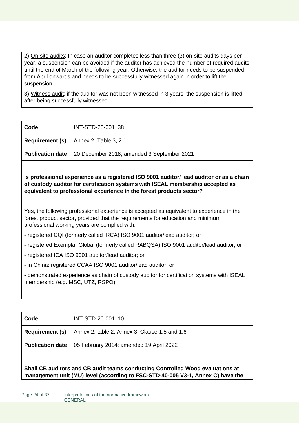2) On-site audits: In case an auditor completes less than three (3) on-site audits days per year, a suspension can be avoided if the auditor has achieved the number of required audits until the end of March of the following year. Otherwise, the auditor needs to be suspended from April onwards and needs to be successfully witnessed again in order to lift the suspension.

3) Witness audit: if the auditor was not been witnessed in 3 years, the suspension is lifted after being successfully witnessed.

| Code | INT-STD-20-001 38                                                    |
|------|----------------------------------------------------------------------|
|      | <b>Requirement (s)</b> $\vert$ Annex 2, Table 3, 2.1                 |
|      | <b>Publication date</b>   20 December 2018; amended 3 September 2021 |

**Is professional experience as a registered ISO 9001 auditor/ lead auditor or as a chain of custody auditor for certification systems with ISEAL membership accepted as equivalent to professional experience in the forest products sector?** 

Yes, the following professional experience is accepted as equivalent to experience in the forest product sector, provided that the requirements for education and minimum professional working years are complied with:

- registered CQI (formerly called IRCA) ISO 9001 auditor/lead auditor; or
- registered Exemplar Global (formerly called RABQSA) ISO 9001 auditor/lead auditor; or
- registered ICA ISO 9001 auditor/lead auditor; or
- in China: registered CCAA ISO 9001 auditor/lead auditor; or

- demonstrated experience as chain of custody auditor for certification systems with ISEAL membership (e.g. MSC, UTZ, RSPO).

| Code                    | INT-STD-20-001_10                                                            |
|-------------------------|------------------------------------------------------------------------------|
|                         | <b>Requirement (s)</b> $\vert$ Annex 2, table 2; Annex 3, Clause 1.5 and 1.6 |
| <b>Publication date</b> | 05 February 2014; amended 19 April 2022                                      |
|                         |                                                                              |

**Shall CB auditors and CB audit teams conducting Controlled Wood evaluations at management unit (MU) level (according to FSC-STD-40-005 V3-1, Annex C) have the**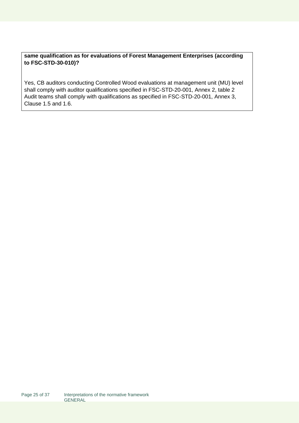#### **same qualification as for evaluations of Forest Management Enterprises (according to FSC-STD-30-010)?**

Yes, CB auditors conducting Controlled Wood evaluations at management unit (MU) level shall comply with auditor qualifications specified in FSC-STD-20-001, Annex 2, table 2 Audit teams shall comply with qualifications as specified in FSC-STD-20-001, Annex 3, Clause 1.5 and 1.6.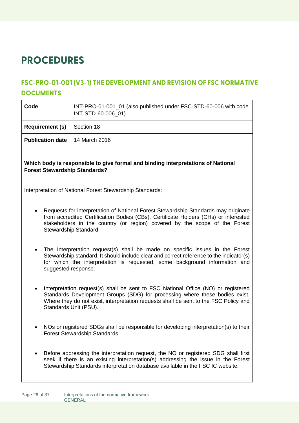# <span id="page-25-0"></span>**PROCEDURES**

### <span id="page-25-1"></span>**FSC-PRO-01-001 (V3-1) THE DEVELOPMENT AND REVISION OF FSC NORMATIVE DOCUMENTS**

| Code                    | INT-PRO-01-001_01 (also published under FSC-STD-60-006 with code<br>INT-STD-60-006 01) |
|-------------------------|----------------------------------------------------------------------------------------|
| <b>Requirement (s)</b>  | Section 18                                                                             |
| <b>Publication date</b> | 14 March 2016                                                                          |

#### **Which body is responsible to give formal and binding interpretations of National Forest Stewardship Standards?**

Interpretation of National Forest Stewardship Standards:

- Requests for interpretation of National Forest Stewardship Standards may originate from accredited Certification Bodies (CBs), Certificate Holders (CHs) or interested stakeholders in the country (or region) covered by the scope of the Forest Stewardship Standard.
- The Interpretation request(s) shall be made on specific issues in the Forest Stewardship standard. It should include clear and correct reference to the indicator(s) for which the interpretation is requested, some background information and suggested response.
- Interpretation request(s) shall be sent to FSC National Office (NO) or registered Standards Development Groups (SDG) for processing where these bodies exist. Where they do not exist, interpretation requests shall be sent to the FSC Policy and Standards Unit (PSU).
- NOs or registered SDGs shall be responsible for developing interpretation(s) to their Forest Stewardship Standards.
- Before addressing the interpretation request, the NO or registered SDG shall first seek if there is an existing interpretation(s) addressing the issue in the Forest Stewardship Standards interpretation database available in the FSC IC website.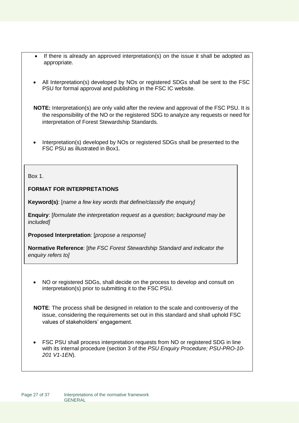- If there is already an approved interpretation(s) on the issue it shall be adopted as appropriate.
- All Interpretation(s) developed by NOs or registered SDGs shall be sent to the FSC PSU for formal approval and publishing in the FSC IC website.

 **NOTE:** Interpretation(s) are only valid after the review and approval of the FSC PSU. It is the responsibility of the NO or the registered SDG to analyze any requests or need for interpretation of Forest Stewardship Standards.

• Interpretation(s) developed by NOs or registered SDGs shall be presented to the FSC PSU as illustrated in Box1.

Box 1.

#### **FORMAT FOR INTERPRETATIONS**

**Keyword(s)**: [*name a few key words that define/classify the enquiry]* 

**Enquiry**: [*formulate the interpretation request as a question; background may be included]* 

**Proposed Interpretation**: [*propose a response]* 

**Normative Reference**: [*the FSC Forest Stewardship Standard and indicator the enquiry refers to]*

• NO or registered SDGs, shall decide on the process to develop and consult on interpretation(s) prior to submitting it to the FSC PSU.

 **NOTE**: The process shall be designed in relation to the scale and controversy of the issue, considering the requirements set out in this standard and shall uphold FSC values of stakeholders' engagement.

• FSC PSU shall process interpretation requests from NO or registered SDG in line with its internal procedure (section 3 of the *PSU Enquiry Procedure; PSU-PRO-10- 201 V1-1EN*).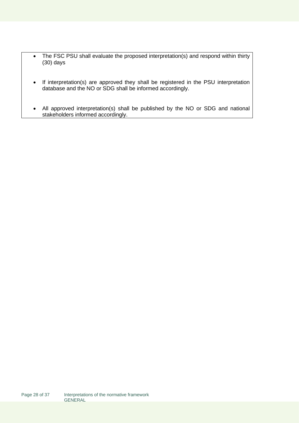- The FSC PSU shall evaluate the proposed interpretation(s) and respond within thirty (30) days
- If interpretation(s) are approved they shall be registered in the PSU interpretation database and the NO or SDG shall be informed accordingly.
- All approved interpretation(s) shall be published by the NO or SDG and national stakeholders informed accordingly.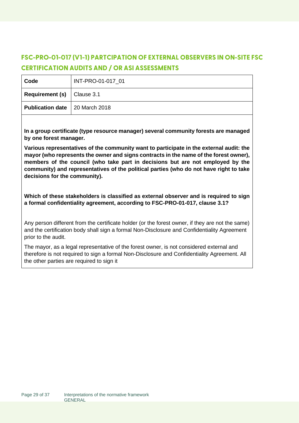# <span id="page-28-0"></span>**FSC-PRO-01-017 (V1-1) PARTCIPATION OF EXTERNAL OBSERVERS IN ON-SITE FSC CERTIFICATION AUDITS AND / OR ASI ASSESSMENTS**

| Code                                    | INT-PRO-01-017 01 |
|-----------------------------------------|-------------------|
| <b>Requirement (s)</b> $ $ Clause 3.1   |                   |
| <b>Publication date</b>   20 March 2018 |                   |

**In a group certificate (type resource manager) several community forests are managed by one forest manager.** 

**Various representatives of the community want to participate in the external audit: the mayor (who represents the owner and signs contracts in the name of the forest owner), members of the council (who take part in decisions but are not employed by the community) and representatives of the political parties (who do not have right to take decisions for the community).** 

**Which of these stakeholders is classified as external observer and is required to sign a formal confidentiality agreement, according to FSC-PRO-01-017, clause 3.1?**

Any person different from the certificate holder (or the forest owner, if they are not the same) and the certification body shall sign a formal Non-Disclosure and Confidentiality Agreement prior to the audit.

The mayor, as a legal representative of the forest owner, is not considered external and therefore is not required to sign a formal Non-Disclosure and Confidentiality Agreement. All the other parties are required to sign it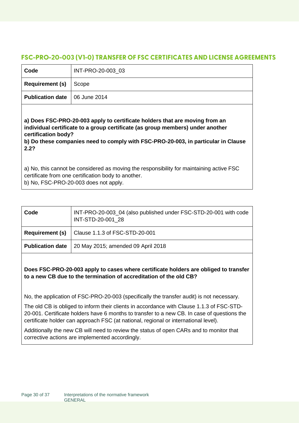#### <span id="page-29-0"></span>**FSC-PRO-20-003 (V1-0) TRANSFER OF FSC CERTIFICATES AND LICENSE AGREEMENTS**

| Code                                                                                                                                                                                                                                                                              | INT-PRO-20-003_03 |
|-----------------------------------------------------------------------------------------------------------------------------------------------------------------------------------------------------------------------------------------------------------------------------------|-------------------|
| <b>Requirement (s)</b>                                                                                                                                                                                                                                                            | Scope             |
| <b>Publication date</b>                                                                                                                                                                                                                                                           | 06 June 2014      |
| a) Does FSC-PRO-20-003 apply to certificate holders that are moving from an<br>individual certificate to a group certificate (as group members) under another<br>certification body?<br>b) Do these companies need to comply with FSC-PRO-20-003, in particular in Clause<br>2.2? |                   |
| a) No, this cannot be considered as moving the responsibility for maintaining active FSC<br>certificate from one certification body to another.<br>b) No, FSC-PRO-20-003 does not apply.                                                                                          |                   |
|                                                                                                                                                                                                                                                                                   |                   |

| Code                    | INT-PRO-20-003_04 (also published under FSC-STD-20-001 with code<br>INT-STD-20-001 28 |
|-------------------------|---------------------------------------------------------------------------------------|
| <b>Requirement (s)</b>  | Clause 1.1.3 of FSC-STD-20-001                                                        |
| <b>Publication date</b> | 20 May 2015; amended 09 April 2018                                                    |

**Does FSC-PRO-20-003 apply to cases where certificate holders are obliged to transfer to a new CB due to the termination of accreditation of the old CB?** 

No, the application of FSC-PRO-20-003 (specifically the transfer audit) is not necessary.

The old CB is obliged to inform their clients in accordance with Clause 1.1.3 of FSC-STD-20-001. Certificate holders have 6 months to transfer to a new CB. In case of questions the certificate holder can approach FSC (at national, regional or international level).

Additionally the new CB will need to review the status of open CARs and to monitor that corrective actions are implemented accordingly.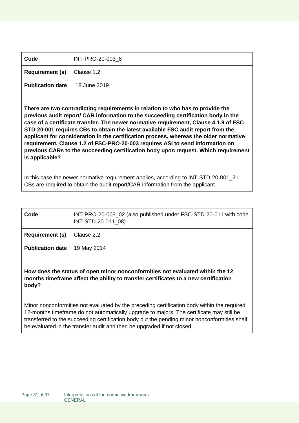| Code                                      | INT-PRO-20-003 8 |
|-------------------------------------------|------------------|
| <b>Requirement (s)</b> $\vert$ Clause 1.2 |                  |
| <b>Publication date</b>                   | 18 June 2019     |

**There are two contradicting requirements in relation to who has to provide the previous audit report/ CAR information to the succeeding certification body in the case of a certificate transfer. The newer normative requirement, Clause 4.1.9 of FSC-STD-20-001 requires CBs to obtain the latest available FSC audit report from the applicant for consideration in the certification process, whereas the older normative requirement, Clause 1.2 of FSC-PRO-20-003 requires ASI to send information on previous CARs to the succeeding certification body upon request. Which requirement is applicable?** 

In this case the newer normative requirement applies, according to INT-STD-20-001\_21. CBs are required to obtain the audit report/CAR information from the applicant.

| Code                    | INT-PRO-20-003_02 (also published under FSC-STD-20-011 with code<br>INT-STD-20-011_08) |
|-------------------------|----------------------------------------------------------------------------------------|
| <b>Requirement (s)</b>  | Clause 2.2                                                                             |
| <b>Publication date</b> | 19 May 2014                                                                            |

**How does the status of open minor nonconformities not evaluated within the 12 months timeframe affect the ability to transfer certificates to a new certification body?**

Minor nonconformities not evaluated by the preceding certification body within the required 12-months timeframe do not automatically upgrade to majors. The certificate may still be transferred to the succeeding certification body but the pending minor nonconformities shall be evaluated in the transfer audit and then be upgraded if not closed.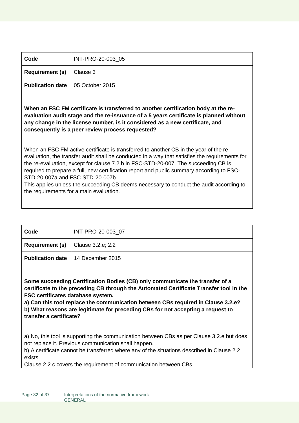| Code                                      | INT-PRO-20-003 05 |
|-------------------------------------------|-------------------|
| <b>Requirement (s)</b> $\vert$ Clause 3   |                   |
| <b>Publication date</b>   05 October 2015 |                   |

**When an FSC FM certificate is transferred to another certification body at the reevaluation audit stage and the re-issuance of a 5 years certificate is planned without any change in the license number, is it considered as a new certificate, and consequently is a peer review process requested?**

When an FSC FM active certificate is transferred to another CB in the year of the reevaluation, the transfer audit shall be conducted in a way that satisfies the requirements for the re-evaluation, except for clause 7.2.b in FSC-STD-20-007. The succeeding CB is required to prepare a full, new certification report and public summary according to FSC-STD-20-007a and FSC-STD-20-007b.

This applies unless the succeeding CB deems necessary to conduct the audit according to the requirements for a main evaluation.

| Code                                         | INT-PRO-20-003 07                          |
|----------------------------------------------|--------------------------------------------|
| <b>Requirement (s)</b> $ $ Clause 3.2.e; 2.2 |                                            |
|                                              | <b>Publication date</b>   14 December 2015 |

**Some succeeding Certification Bodies (CB) only communicate the transfer of a certificate to the preceding CB through the Automated Certificate Transfer tool in the FSC certificates database system.** 

**a) Can this tool replace the communication between CBs required in Clause 3.2.e? b) What reasons are legitimate for preceding CBs for not accepting a request to transfer a certificate?**

a) No, this tool is supporting the communication between CBs as per Clause 3.2.e but does not replace it. Previous communication shall happen.

b) A certificate cannot be transferred where any of the situations described in Clause 2.2 exists.

Clause 2.2.c covers the requirement of communication between CBs.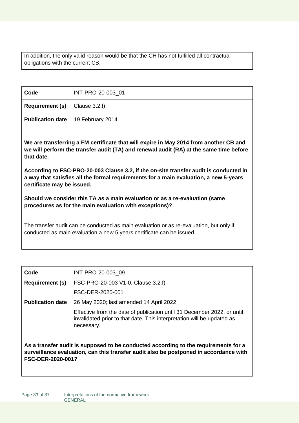In addition, the only valid reason would be that the CH has not fulfilled all contractual obligations with the current CB.

| Code                                       | INT-PRO-20-003 01 |
|--------------------------------------------|-------------------|
| <b>Requirement (s)</b> $ $ Clause 3.2.f)   |                   |
| <b>Publication date</b>   19 February 2014 |                   |

**We are transferring a FM certificate that will expire in May 2014 from another CB and we will perform the transfer audit (TA) and renewal audit (RA) at the same time before that date.** 

**According to FSC-PRO-20-003 Clause 3.2, if the on-site transfer audit is conducted in a way that satisfies all the formal requirements for a main evaluation, a new 5-years certificate may be issued.** 

**Should we consider this TA as a main evaluation or as a re-evaluation (same procedures as for the main evaluation with exceptions)?**

The transfer audit can be conducted as main evaluation or as re-evaluation, but only if conducted as main evaluation a new 5 years certificate can be issued.

| Code                    | INT-PRO-20-003 09                                                                                                                                               |
|-------------------------|-----------------------------------------------------------------------------------------------------------------------------------------------------------------|
| <b>Requirement (s)</b>  | FSC-PRO-20-003 V1-0, Clause 3.2.f)                                                                                                                              |
|                         | FSC-DER-2020-001                                                                                                                                                |
| <b>Publication date</b> | 26 May 2020; last amended 14 April 2022                                                                                                                         |
|                         | Effective from the date of publication until 31 December 2022, or until<br>invalidated prior to that date. This interpretation will be updated as<br>necessary. |
|                         |                                                                                                                                                                 |

**As a transfer audit is supposed to be conducted according to the requirements for a surveillance evaluation, can this transfer audit also be postponed in accordance with FSC-DER-2020-001?**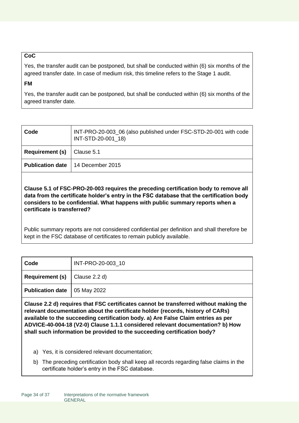#### **CoC**

Yes, the transfer audit can be postponed, but shall be conducted within (6) six months of the agreed transfer date. In case of medium risk, this timeline refers to the Stage 1 audit.

#### **FM**

Yes, the transfer audit can be postponed, but shall be conducted within (6) six months of the agreed transfer date.

| Code                    | INT-PRO-20-003_06 (also published under FSC-STD-20-001 with code<br>INT-STD-20-001_18) |
|-------------------------|----------------------------------------------------------------------------------------|
| <b>Requirement (s)</b>  | Clause 5.1                                                                             |
| <b>Publication date</b> | $\vert$ 14 December 2015                                                               |
|                         |                                                                                        |

**Clause 5.1 of FSC-PRO-20-003 requires the preceding certification body to remove all data from the certificate holder's entry in the FSC database that the certification body considers to be confidential. What happens with public summary reports when a certificate is transferred?**

Public summary reports are not considered confidential per definition and shall therefore be kept in the FSC database of certificates to remain publicly available.

| Code                                     | INT-PRO-20-003_10 |
|------------------------------------------|-------------------|
| <b>Requirement (s)</b> $ $ Clause 2.2 d) |                   |
| <b>Publication date</b>   05 May 2022    |                   |

**Clause 2.2 d) requires that FSC certificates cannot be transferred without making the relevant documentation about the certificate holder (records, history of CARs) available to the succeeding certification body. a) Are False Claim entries as per ADVICE-40-004-18 (V2-0) Clause 1.1.1 considered relevant documentation? b) How shall such information be provided to the succeeding certification body?**

- a) Yes, it is considered relevant documentation;
- b) The preceding certification body shall keep all records regarding false claims in the certificate holder's entry in the FSC database.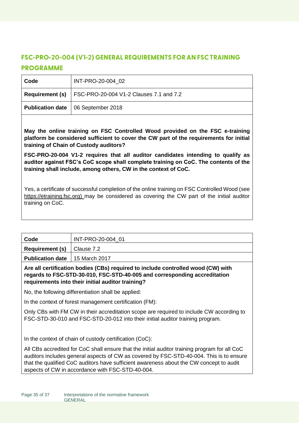## <span id="page-34-0"></span>**FSC-PRO-20-004 (V1-2) GENERAL REQUIREMENTS FOR AN FSC TRAINING PROGRAMME**

| Code | INT-PRO-20-004 02                                                 |
|------|-------------------------------------------------------------------|
|      | <b>Requirement (s)</b> $ FSC-PRO-20-004 V1-2 Clauses 7.1 and 7.2$ |
|      | <b>Publication date</b>   06 September 2018                       |

**May the online training on FSC Controlled Wood provided on the FSC e-training platform be considered sufficient to cover the CW part of the requirements for initial training of Chain of Custody auditors?**

**FSC-PRO-20-004 V1-2 requires that all auditor candidates intending to qualify as auditor against FSC's CoC scope shall complete training on CoC. The contents of the training shall include, among others, CW in the context of CoC.** 

Yes, a certificate of successful completion of the online training on FSC Controlled Wood (see [https://etraining.fsc.org\)](https://etraining.fsc.org/) may be considered as covering the CW part of the initial auditor training on CoC.

| Code                                    | INT-PRO-20-004 01 |
|-----------------------------------------|-------------------|
| <b>Requirement (s)</b>                  | Clause 7.2        |
| <b>Publication date</b>   15 March 2017 |                   |

**Are all certification bodies (CBs) required to include controlled wood (CW) with regards to FSC-STD-30-010, FSC-STD-40-005 and corresponding accreditation requirements into their initial auditor training?**

No, the following differentiation shall be applied:

In the context of forest management certification (FM):

Only CBs with FM CW in their accreditation scope are required to include CW according to FSC-STD-30-010 and FSC-STD-20-012 into their initial auditor training program.

In the context of chain of custody certification (CoC):

All CBs accredited for CoC shall ensure that the initial auditor training program for all CoC auditors includes general aspects of CW as covered by FSC-STD-40-004. This is to ensure that the qualified CoC auditors have sufficient awareness about the CW concept to audit aspects of CW in accordance with FSC-STD-40-004.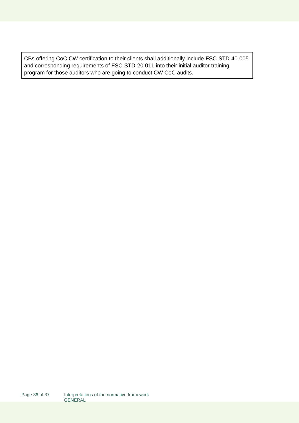CBs offering CoC CW certification to their clients shall additionally include FSC-STD-40-005 and corresponding requirements of FSC-STD-20-011 into their initial auditor training program for those auditors who are going to conduct CW CoC audits.